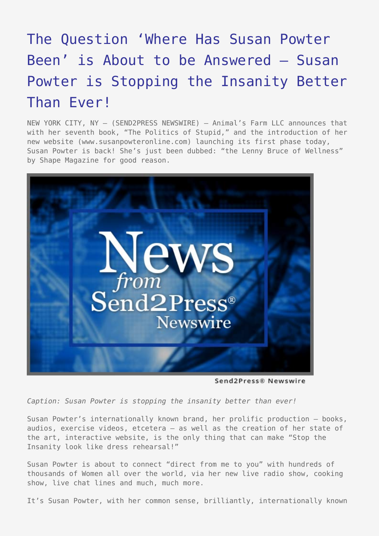## [The Question 'Where Has Susan Powter](https://www.send2press.com/wire/2005-04-0413-006/) [Been' is About to be Answered – Susan](https://www.send2press.com/wire/2005-04-0413-006/) [Powter is Stopping the Insanity Better](https://www.send2press.com/wire/2005-04-0413-006/) [Than Ever!](https://www.send2press.com/wire/2005-04-0413-006/)

NEW YORK CITY, NY — (SEND2PRESS NEWSWIRE) — Animal's Farm LLC announces that with her seventh book, "The Politics of Stupid," and the introduction of her new website (www.susanpowteronline.com) launching its first phase today, Susan Powter is back! She's just been dubbed: "the Lenny Bruce of Wellness" by Shape Magazine for good reason.



Send2Press® Newswire

*Caption: Susan Powter is stopping the insanity better than ever!*

Susan Powter's internationally known brand, her prolific production – books, audios, exercise videos, etcetera – as well as the creation of her state of the art, interactive website, is the only thing that can make "Stop the Insanity look like dress rehearsal!"

Susan Powter is about to connect "direct from me to you" with hundreds of thousands of Women all over the world, via her new live radio show, cooking show, live chat lines and much, much more.

It's Susan Powter, with her common sense, brilliantly, internationally known